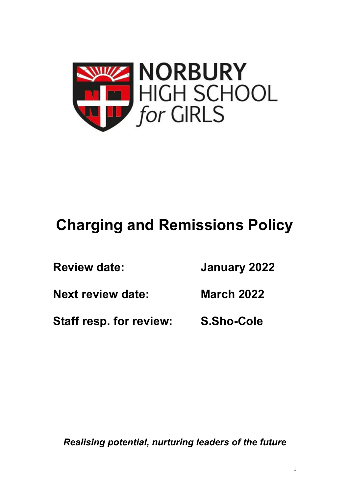

## **Charging and Remissions Policy**

| <b>Review date:</b>      | January 2022      |  |
|--------------------------|-------------------|--|
| <b>Next review date:</b> | <b>March 2022</b> |  |
| Staff resp. for review:  | S.Sho-Cole        |  |

*Realising potential, nurturing leaders of the future*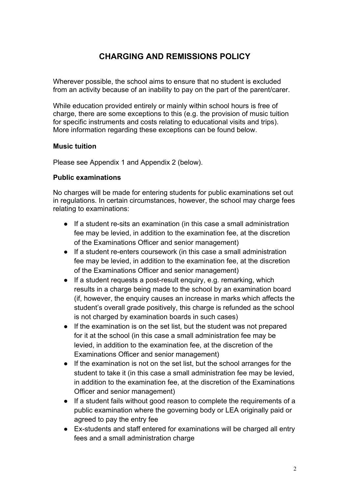## **CHARGING AND REMISSIONS POLICY**

Wherever possible, the school aims to ensure that no student is excluded from an activity because of an inability to pay on the part of the parent/carer.

While education provided entirely or mainly within school hours is free of charge, there are some exceptions to this (e.g. the provision of music tuition for specific instruments and costs relating to educational visits and trips). More information regarding these exceptions can be found below.

#### **Music tuition**

Please see Appendix 1 and Appendix 2 (below).

#### **Public examinations**

No charges will be made for entering students for public examinations set out in regulations. In certain circumstances, however, the school may charge fees relating to examinations:

- If a student re-sits an examination (in this case a small administration fee may be levied, in addition to the examination fee, at the discretion of the Examinations Officer and senior management)
- If a student re-enters coursework (in this case a small administration fee may be levied, in addition to the examination fee, at the discretion of the Examinations Officer and senior management)
- If a student requests a post-result enquiry, e.g. remarking, which results in a charge being made to the school by an examination board (if, however, the enquiry causes an increase in marks which affects the student's overall grade positively, this charge is refunded as the school is not charged by examination boards in such cases)
- If the examination is on the set list, but the student was not prepared for it at the school (in this case a small administration fee may be levied, in addition to the examination fee, at the discretion of the Examinations Officer and senior management)
- If the examination is not on the set list, but the school arranges for the student to take it (in this case a small administration fee may be levied, in addition to the examination fee, at the discretion of the Examinations Officer and senior management)
- If a student fails without good reason to complete the requirements of a public examination where the governing body or LEA originally paid or agreed to pay the entry fee
- Ex-students and staff entered for examinations will be charged all entry fees and a small administration charge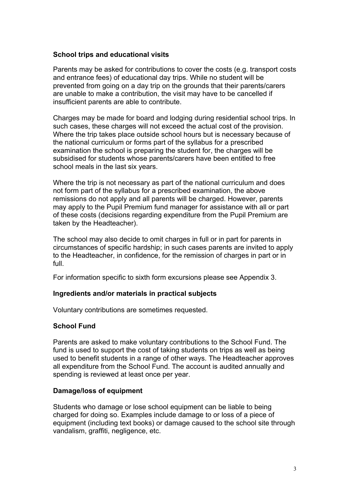#### **School trips and educational visits**

Parents may be asked for contributions to cover the costs (e.g. transport costs and entrance fees) of educational day trips. While no student will be prevented from going on a day trip on the grounds that their parents/carers are unable to make a contribution, the visit may have to be cancelled if insufficient parents are able to contribute.

Charges may be made for board and lodging during residential school trips. In such cases, these charges will not exceed the actual cost of the provision. Where the trip takes place outside school hours but is necessary because of the national curriculum or forms part of the syllabus for a prescribed examination the school is preparing the student for, the charges will be subsidised for students whose parents/carers have been entitled to free school meals in the last six years.

Where the trip is not necessary as part of the national curriculum and does not form part of the syllabus for a prescribed examination, the above remissions do not apply and all parents will be charged. However, parents may apply to the Pupil Premium fund manager for assistance with all or part of these costs (decisions regarding expenditure from the Pupil Premium are taken by the Headteacher).

The school may also decide to omit charges in full or in part for parents in circumstances of specific hardship; in such cases parents are invited to apply to the Headteacher, in confidence, for the remission of charges in part or in full.

For information specific to sixth form excursions please see Appendix 3.

#### **Ingredients and/or materials in practical subjects**

Voluntary contributions are sometimes requested.

#### **School Fund**

Parents are asked to make voluntary contributions to the School Fund. The fund is used to support the cost of taking students on trips as well as being used to benefit students in a range of other ways. The Headteacher approves all expenditure from the School Fund. The account is audited annually and spending is reviewed at least once per year.

#### **Damage/loss of equipment**

Students who damage or lose school equipment can be liable to being charged for doing so. Examples include damage to or loss of a piece of equipment (including text books) or damage caused to the school site through vandalism, graffiti, negligence, etc.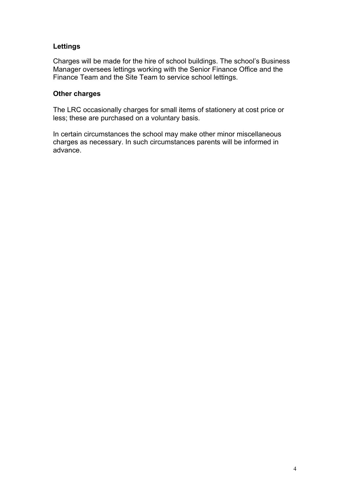#### **Lettings**

Charges will be made for the hire of school buildings. The school's Business Manager oversees lettings working with the Senior Finance Office and the Finance Team and the Site Team to service school lettings.

#### **Other charges**

The LRC occasionally charges for small items of stationery at cost price or less; these are purchased on a voluntary basis.

In certain circumstances the school may make other minor miscellaneous charges as necessary. In such circumstances parents will be informed in advance.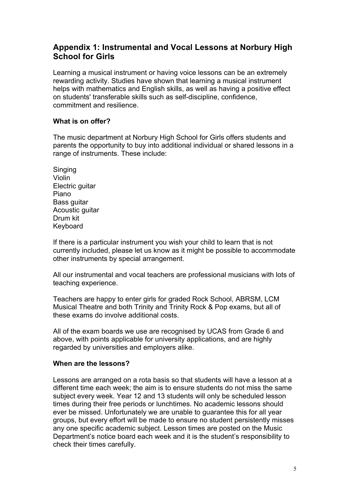### **Appendix 1: Instrumental and Vocal Lessons at Norbury High School for Girls**

Learning a musical instrument or having voice lessons can be an extremely rewarding activity. Studies have shown that learning a musical instrument helps with mathematics and English skills, as well as having a positive effect on students' transferable skills such as self-discipline, confidence, commitment and resilience.

#### **What is on offer?**

The music department at Norbury High School for Girls offers students and parents the opportunity to buy into additional individual or shared lessons in a range of instruments. These include:

Singing Violin Electric guitar Piano Bass guitar Acoustic guitar Drum kit Keyboard

If there is a particular instrument you wish your child to learn that is not currently included, please let us know as it might be possible to accommodate other instruments by special arrangement.

All our instrumental and vocal teachers are professional musicians with lots of teaching experience.

Teachers are happy to enter girls for graded Rock School, ABRSM, LCM Musical Theatre and both Trinity and Trinity Rock & Pop exams, but all of these exams do involve additional costs.

All of the exam boards we use are recognised by UCAS from Grade 6 and above, with points applicable for university applications, and are highly regarded by universities and employers alike.

#### **When are the lessons?**

Lessons are arranged on a rota basis so that students will have a lesson at a different time each week; the aim is to ensure students do not miss the same subject every week. Year 12 and 13 students will only be scheduled lesson times during their free periods or lunchtimes. No academic lessons should ever be missed. Unfortunately we are unable to guarantee this for all year groups, but every effort will be made to ensure no student persistently misses any one specific academic subject. Lesson times are posted on the Music Department's notice board each week and it is the student's responsibility to check their times carefully.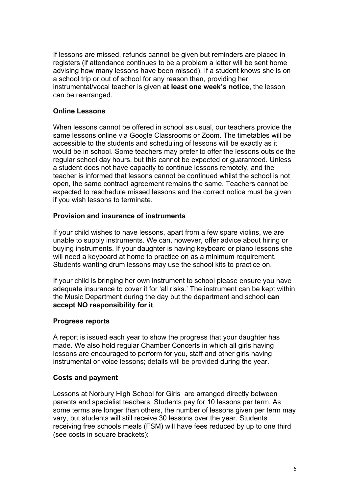If lessons are missed, refunds cannot be given but reminders are placed in registers (if attendance continues to be a problem a letter will be sent home advising how many lessons have been missed). If a student knows she is on a school trip or out of school for any reason then, providing her instrumental/vocal teacher is given **at least one week's notice**, the lesson can be rearranged.

#### **Online Lessons**

When lessons cannot be offered in school as usual, our teachers provide the same lessons online via Google Classrooms or Zoom. The timetables will be accessible to the students and scheduling of lessons will be exactly as it would be in school. Some teachers may prefer to offer the lessons outside the regular school day hours, but this cannot be expected or guaranteed. Unless a student does not have capacity to continue lessons remotely, and the teacher is informed that lessons cannot be continued whilst the school is not open, the same contract agreement remains the same. Teachers cannot be expected to reschedule missed lessons and the correct notice must be given if you wish lessons to terminate.

#### **Provision and insurance of instruments**

If your child wishes to have lessons, apart from a few spare violins, we are unable to supply instruments. We can, however, offer advice about hiring or buying instruments. If your daughter is having keyboard or piano lessons she will need a keyboard at home to practice on as a minimum requirement. Students wanting drum lessons may use the school kits to practice on.

If your child is bringing her own instrument to school please ensure you have adequate insurance to cover it for 'all risks.' The instrument can be kept within the Music Department during the day but the department and school **can accept NO responsibility for it**.

#### **Progress reports**

A report is issued each year to show the progress that your daughter has made. We also hold regular Chamber Concerts in which all girls having lessons are encouraged to perform for you, staff and other girls having instrumental or voice lessons; details will be provided during the year.

#### **Costs and payment**

Lessons at Norbury High School for Girls are arranged directly between parents and specialist teachers. Students pay for 10 lessons per term. As some terms are longer than others, the number of lessons given per term may vary, but students will still receive 30 lessons over the year. Students receiving free schools meals (FSM) will have fees reduced by up to one third (see costs in square brackets):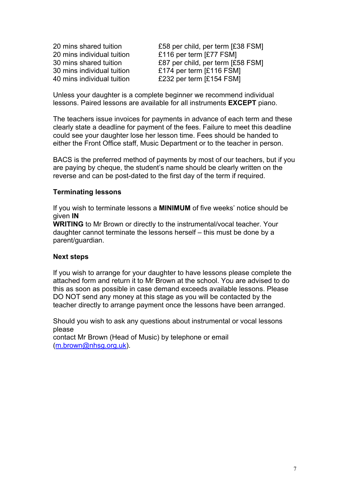20 mins individual tuition £116 per term [£77 FSM]

20 mins shared tuition £58 per child, per term [£38 FSM] 30 mins shared tuition £87 per child, per term [£58 FSM] 30 mins individual tuition £174 per term [£116 FSM] 40 mins individual tuition £232 per term [£154 FSM]

Unless your daughter is a complete beginner we recommend individual lessons. Paired lessons are available for all instruments **EXCEPT** piano.

The teachers issue invoices for payments in advance of each term and these clearly state a deadline for payment of the fees. Failure to meet this deadline could see your daughter lose her lesson time. Fees should be handed to either the Front Office staff, Music Department or to the teacher in person.

BACS is the preferred method of payments by most of our teachers, but if you are paying by cheque, the student's name should be clearly written on the reverse and can be post-dated to the first day of the term if required.

#### **Terminating lessons**

If you wish to terminate lessons a **MINIMUM** of five weeks' notice should be given **IN**

**WRITING** to Mr Brown or directly to the instrumental/vocal teacher. Your daughter cannot terminate the lessons herself – this must be done by a parent/guardian.

#### **Next steps**

If you wish to arrange for your daughter to have lessons please complete the attached form and return it to Mr Brown at the school. You are advised to do this as soon as possible in case demand exceeds available lessons. Please DO NOT send any money at this stage as you will be contacted by the teacher directly to arrange payment once the lessons have been arranged.

Should you wish to ask any questions about instrumental or vocal lessons please contact Mr Brown (Head of Music) by telephone or email

(m.brown@nhsg.org.uk).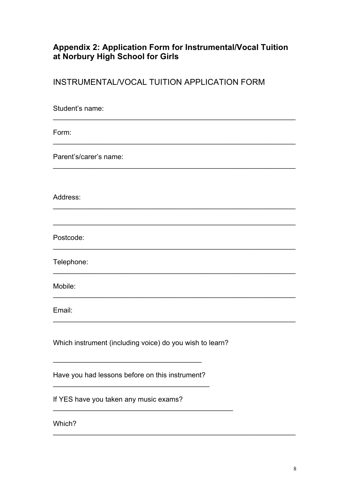# Appendix 2: Application Form for Instrumental/Vocal Tuition<br>at Norbury High School for Girls

INSTRUMENTAL/VOCAL TUITION APPLICATION FORM

| Student's name:                                          |
|----------------------------------------------------------|
| Form:                                                    |
| Parent's/carer's name:                                   |
| Address:                                                 |
| Postcode:                                                |
| Telephone:                                               |
| Mobile:                                                  |
| Email:                                                   |
| Which instrument (including voice) do you wish to learn? |
| Have you had lessons before on this instrument?          |
| If YES have you taken any music exams?                   |

Which?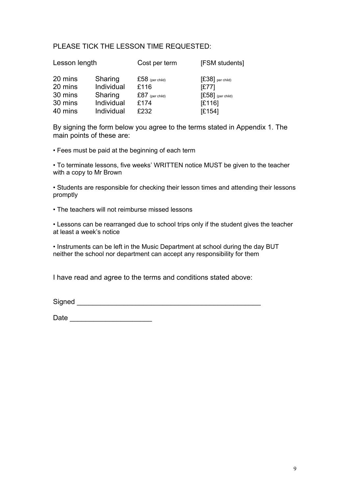#### PLEASE TICK THE LESSON TIME REQUESTED:

| Lesson length |            | Cost per term     | [FSM students]      |
|---------------|------------|-------------------|---------------------|
| 20 mins       | Sharing    | $£58$ (per child) | $[£38]$ per child)  |
| 20 mins       | Individual | £116              | [£77]               |
| 30 mins       | Sharing    | $£87$ (per child) | $[£58]$ (per child) |
| 30 mins       | Individual | £174              | E116                |
| 40 mins       | Individual | £232              | E154                |

By signing the form below you agree to the terms stated in Appendix 1. The main points of these are:

• Fees must be paid at the beginning of each term

• To terminate lessons, five weeks' WRITTEN notice MUST be given to the teacher with a copy to Mr Brown

• Students are responsible for checking their lesson times and attending their lessons promptly

• The teachers will not reimburse missed lessons

• Lessons can be rearranged due to school trips only if the student gives the teacher at least a week's notice

• Instruments can be left in the Music Department at school during the day BUT neither the school nor department can accept any responsibility for them

I have read and agree to the terms and conditions stated above:

Signed \_\_\_\_\_\_\_\_\_\_\_\_\_\_\_\_\_\_\_\_\_\_\_\_\_\_\_\_\_\_\_\_\_\_\_\_\_\_\_\_\_\_\_\_\_\_\_

Date \_\_\_\_\_\_\_\_\_\_\_\_\_\_\_\_\_\_\_\_\_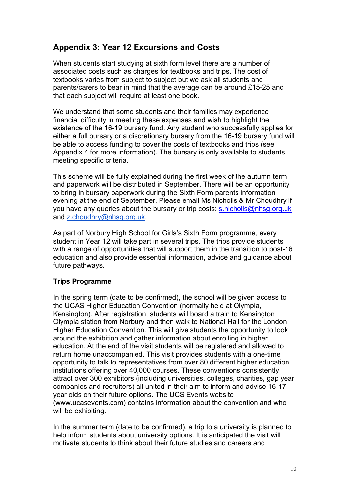## **Appendix 3: Year 12 Excursions and Costs**

When students start studying at sixth form level there are a number of associated costs such as charges for textbooks and trips. The cost of textbooks varies from subject to subject but we ask all students and parents/carers to bear in mind that the average can be around £15-25 and that each subject will require at least one book.

We understand that some students and their families may experience financial difficulty in meeting these expenses and wish to highlight the existence of the 16-19 bursary fund. Any student who successfully applies for either a full bursary or a discretionary bursary from the 16-19 bursary fund will be able to access funding to cover the costs of textbooks and trips (see Appendix 4 for more information). The bursary is only available to students meeting specific criteria.

This scheme will be fully explained during the first week of the autumn term and paperwork will be distributed in September. There will be an opportunity to bring in bursary paperwork during the Sixth Form parents information evening at the end of September. Please email Ms Nicholls & Mr Choudhry if you have any queries about the bursary or trip costs: s.nicholls@nhsq.org.uk and z.choudhry@nhsg.org.uk.

As part of Norbury High School for Girls's Sixth Form programme, every student in Year 12 will take part in several trips. The trips provide students with a range of opportunities that will support them in the transition to post-16 education and also provide essential information, advice and guidance about future pathways.

#### **Trips Programme**

In the spring term (date to be confirmed), the school will be given access to the UCAS Higher Education Convention (normally held at Olympia, Kensington). After registration, students will board a train to Kensington Olympia station from Norbury and then walk to National Hall for the London Higher Education Convention. This will give students the opportunity to look around the exhibition and gather information about enrolling in higher education. At the end of the visit students will be registered and allowed to return home unaccompanied. This visit provides students with a one-time opportunity to talk to representatives from over 80 different higher education institutions offering over 40,000 courses. These conventions consistently attract over 300 exhibitors (including universities, colleges, charities, gap year companies and recruiters) all united in their aim to inform and advise 16-17 year olds on their future options. The UCS Events website (www.ucasevents.com) contains information about the convention and who will be exhibiting.

In the summer term (date to be confirmed), a trip to a university is planned to help inform students about university options. It is anticipated the visit will motivate students to think about their future studies and careers and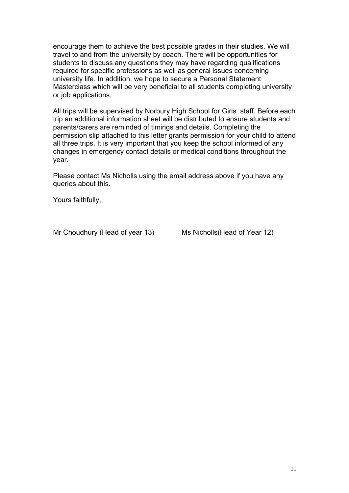encourage them to achieve the best possible grades in their studies. We will travel to and from the university by coach. There will be opportunities for students to discuss any questions they may have regarding qualifications required for specific professions as well as general issues concerning university life. In addition, we hope to secure a Personal Statement Masterclass which will be very beneficial to all students completing university or job applications.

All trips will be supervised by Norbury High School for Girls staff. Before each trip an additional information sheet will be distributed to ensure students and parents/carers are reminded of timings and details. Completing the permission slip attached to this letter grants permission for your child to attend all three trips. It is very important that you keep the school informed of any changes in emergency contact details or medical conditions throughout the year.

Please contact Ms Nicholls using the email address above if you have any queries about this.

Yours faithfully,

Mr Choudhury (Head of year 13) Ms Nicholls (Head of Year 12)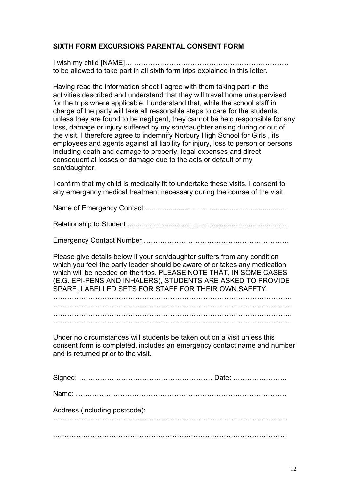#### **SIXTH FORM EXCURSIONS PARENTAL CONSENT FORM**

I wish my child [NAME]… ………………………………………………………… to be allowed to take part in all sixth form trips explained in this letter.

Having read the information sheet I agree with them taking part in the activities described and understand that they will travel home unsupervised for the trips where applicable. I understand that, while the school staff in charge of the party will take all reasonable steps to care for the students, unless they are found to be negligent, they cannot be held responsible for any loss, damage or injury suffered by my son/daughter arising during or out of the visit. I therefore agree to indemnify Norbury High School for Girls , its employees and agents against all liability for injury, loss to person or persons including death and damage to property, legal expenses and direct consequential losses or damage due to the acts or default of my son/daughter.

I confirm that my child is medically fit to undertake these visits. I consent to any emergency medical treatment necessary during the course of the visit.

Name of Emergency Contact .........................................................................

Relationship to Student ..................................................................................

Emergency Contact Number ……………………………………………………..

Please give details below if your son/daughter suffers from any condition which you feel the party leader should be aware of or takes any medication which will be needed on the trips. PLEASE NOTE THAT, IN SOME CASES (E.G. EPI-PENS AND INHALERS), STUDENTS ARE ASKED TO PROVIDE SPARE, LABELLED SETS FOR STAFF FOR THEIR OWN SAFETY.

………………………………………………………………………………………… ………………………………………………………………………………………… ………………………………………………………………………………………… …………………………………………………………………………………………

Under no circumstances will students be taken out on a visit unless this consent form is completed, includes an emergency contact name and number and is returned prior to the visit.

| Address (including postcode): |  |
|-------------------------------|--|
|                               |  |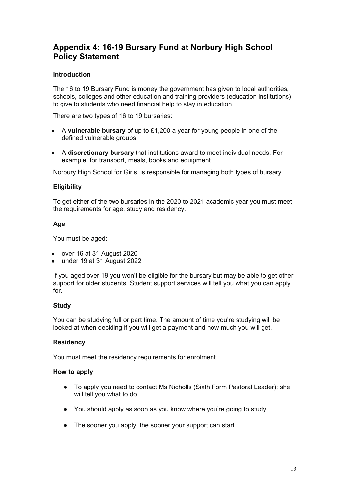## **Appendix 4: 16-19 Bursary Fund at Norbury High School Policy Statement**

#### **Introduction**

The 16 to 19 Bursary Fund is money the government has given to local authorities, schools, colleges and other education and training providers (education institutions) to give to students who need financial help to stay in education.

There are two types of 16 to 19 bursaries:

- A **vulnerable bursary** of up to £1,200 a year for young people in one of the defined vulnerable groups
- A **discretionary bursary** that institutions award to meet individual needs. For example, for transport, meals, books and equipment

Norbury High School for Girls is responsible for managing both types of bursary.

#### **Eligibility**

To get either of the two bursaries in the 2020 to 2021 academic year you must meet the requirements for age, study and residency.

#### **Age**

You must be aged:

- over 16 at 31 August 2020
- under 19 at 31 August 2022

If you aged over 19 you won't be eligible for the bursary but may be able to get other support for older students. Student support services will tell you what you can apply for.

#### **Study**

You can be studying full or part time. The amount of time you're studying will be looked at when deciding if you will get a payment and how much you will get.

#### **Residency**

You must meet the residency requirements for enrolment.

#### **How to apply**

- To apply you need to contact Ms Nicholls (Sixth Form Pastoral Leader); she will tell you what to do
- You should apply as soon as you know where you're going to study
- The sooner you apply, the sooner your support can start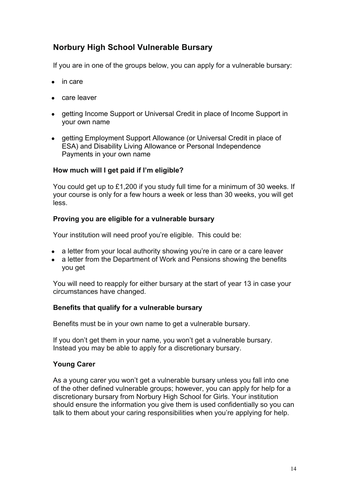## **Norbury High School Vulnerable Bursary**

If you are in one of the groups below, you can apply for a vulnerable bursary:

- in care
- care leaver
- getting Income Support or Universal Credit in place of Income Support in your own name
- getting Employment Support Allowance (or Universal Credit in place of ESA) and Disability Living Allowance or Personal Independence Payments in your own name

#### **How much will I get paid if I'm eligible?**

You could get up to £1,200 if you study full time for a minimum of 30 weeks. If your course is only for a few hours a week or less than 30 weeks, you will get less.

#### **Proving you are eligible for a vulnerable bursary**

Your institution will need proof you're eligible. This could be:

- a letter from your local authority showing you're in care or a care leaver
- a letter from the Department of Work and Pensions showing the benefits you get

You will need to reapply for either bursary at the start of year 13 in case your circumstances have changed.

#### **Benefits that qualify for a vulnerable bursary**

Benefits must be in your own name to get a vulnerable bursary.

If you don't get them in your name, you won't get a vulnerable bursary. Instead you may be able to apply for a discretionary bursary.

#### **Young Carer**

As a young carer you won't get a vulnerable bursary unless you fall into one of the other defined vulnerable groups; however, you can apply for help for a discretionary bursary from Norbury High School for Girls. Your institution should ensure the information you give them is used confidentially so you can talk to them about your caring responsibilities when you're applying for help.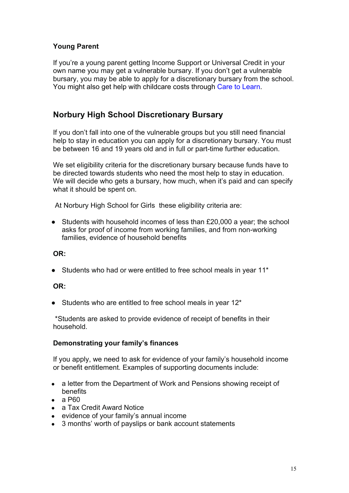#### **Young Parent**

If you're a young parent getting Income Support or Universal Credit in your own name you may get a vulnerable bursary. If you don't get a vulnerable bursary, you may be able to apply for a discretionary bursary from the school. You might also get help with childcare costs through Care to Learn.

## **Norbury High School Discretionary Bursary**

If you don't fall into one of the vulnerable groups but you still need financial help to stay in education you can apply for a discretionary bursary. You must be between 16 and 19 years old and in full or part-time further education.

We set eligibility criteria for the discretionary bursary because funds have to be directed towards students who need the most help to stay in education. We will decide who gets a bursary, how much, when it's paid and can specify what it should be spent on.

At Norbury High School for Girls these eligibility criteria are:

● Students with household incomes of less than £20,000 a year; the school asks for proof of income from working families, and from non-working families, evidence of household benefits

#### **OR:**

• Students who had or were entitled to free school meals in year 11\*

#### **OR:**

• Students who are entitled to free school meals in year 12\*

\*Students are asked to provide evidence of receipt of benefits in their household.

#### **Demonstrating your family's finances**

If you apply, we need to ask for evidence of your family's household income or benefit entitlement. Examples of supporting documents include:

- a letter from the Department of Work and Pensions showing receipt of benefits
- $\bullet$  a P60
- a Tax Credit Award Notice
- evidence of your family's annual income
- 3 months' worth of payslips or bank account statements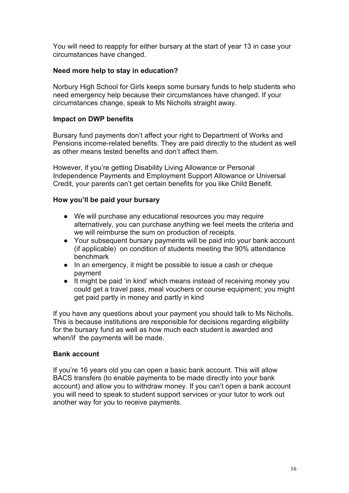You will need to reapply for either bursary at the start of year 13 in case your circumstances have changed.

#### **Need more help to stay in education?**

Norbury High School for Girls keeps some bursary funds to help students who need emergency help because their circumstances have changed. If your circumstances change, speak to Ms Nicholls straight away.

#### **Impact on DWP benefits**

Bursary fund payments don't affect your right to Department of Works and Pensions income-related benefits. They are paid directly to the student as well as other means tested benefits and don't affect them.

However, if you're getting Disability Living Allowance or Personal Independence Payments and Employment Support Allowance or Universal Credit, your parents can't get certain benefits for you like Child Benefit.

#### **How you'll be paid your bursary**

- We will purchase any educational resources you may require alternatively, you can purchase anything we feel meets the criteria and we will reimburse the sum on production of receipts.
- Your subsequent bursary payments will be paid into your bank account (if applicable) on condition of students meeting the 90% attendance benchmark
- In an emergency, it might be possible to issue a cash or cheque payment
- It might be paid 'in kind' which means instead of receiving money you could get a travel pass, meal vouchers or course equipment; you might get paid partly in money and partly in kind

If you have any questions about your payment you should talk to Ms Nicholls. This is because institutions are responsible for decisions regarding eligibility for the bursary fund as well as how much each student is awarded and when/if the payments will be made.

#### **Bank account**

If you're 16 years old you can open a basic bank account. This will allow BACS transfers (to enable payments to be made directly into your bank account) and allow you to withdraw money. If you can't open a bank account you will need to speak to student support services or your tutor to work out another way for you to receive payments.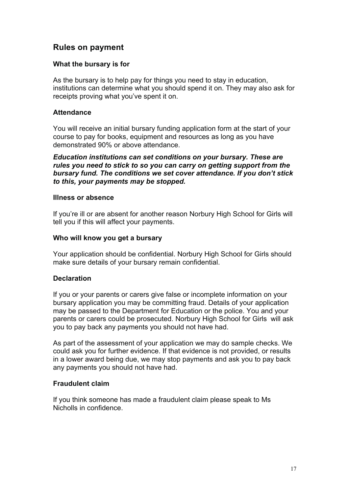## **Rules on payment**

#### **What the bursary is for**

As the bursary is to help pay for things you need to stay in education, institutions can determine what you should spend it on. They may also ask for receipts proving what you've spent it on.

#### **Attendance**

You will receive an initial bursary funding application form at the start of your course to pay for books, equipment and resources as long as you have demonstrated 90% or above attendance.

*Education institutions can set conditions on your bursary. These are rules you need to stick to so you can carry on getting support from the bursary fund. The conditions we set cover attendance. If you don't stick to this, your payments may be stopped.*

#### **Illness or absence**

If you're ill or are absent for another reason Norbury High School for Girls will tell you if this will affect your payments.

#### **Who will know you get a bursary**

Your application should be confidential. Norbury High School for Girls should make sure details of your bursary remain confidential.

#### **Declaration**

If you or your parents or carers give false or incomplete information on your bursary application you may be committing fraud. Details of your application may be passed to the Department for Education or the police. You and your parents or carers could be prosecuted. Norbury High School for Girls will ask you to pay back any payments you should not have had.

As part of the assessment of your application we may do sample checks. We could ask you for further evidence. If that evidence is not provided, or results in a lower award being due, we may stop payments and ask you to pay back any payments you should not have had.

#### **Fraudulent claim**

If you think someone has made a fraudulent claim please speak to Ms Nicholls in confidence.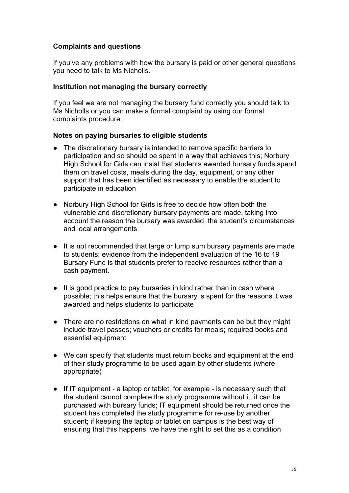#### **Complaints and questions**

If you've any problems with how the bursary is paid or other general questions you need to talk to Ms Nicholls.

#### **Institution not managing the bursary correctly**

If you feel we are not managing the bursary fund correctly you should talk to Ms Nicholls or you can make a formal complaint by using our formal complaints procedure.

#### **Notes on paying bursaries to eligible students**

- The discretionary bursary is intended to remove specific barriers to participation and so should be spent in a way that achieves this; Norbury High School for Girls can insist that students awarded bursary funds spend them on travel costs, meals during the day, equipment, or any other support that has been identified as necessary to enable the student to participate in education
- Norbury High School for Girls is free to decide how often both the vulnerable and discretionary bursary payments are made, taking into account the reason the bursary was awarded, the student's circumstances and local arrangements
- It is not recommended that large or lump sum bursary payments are made to students; evidence from the independent evaluation of the 16 to 19 Bursary Fund is that students prefer to receive resources rather than a cash payment.
- It is good practice to pay bursaries in kind rather than in cash where possible; this helps ensure that the bursary is spent for the reasons it was awarded and helps students to participate
- There are no restrictions on what in kind payments can be but they might include travel passes; vouchers or credits for meals; required books and essential equipment
- We can specify that students must return books and equipment at the end of their study programme to be used again by other students (where appropriate)
- If IT equipment a laptop or tablet, for example is necessary such that the student cannot complete the study programme without it, it can be purchased with bursary funds; IT equipment should be returned once the student has completed the study programme for re-use by another student; if keeping the laptop or tablet on campus is the best way of ensuring that this happens, we have the right to set this as a condition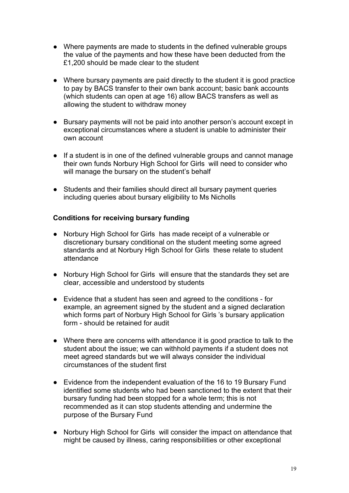- Where payments are made to students in the defined vulnerable groups the value of the payments and how these have been deducted from the £1,200 should be made clear to the student
- Where bursary payments are paid directly to the student it is good practice to pay by BACS transfer to their own bank account; basic bank accounts (which students can open at age 16) allow BACS transfers as well as allowing the student to withdraw money
- Bursary payments will not be paid into another person's account except in exceptional circumstances where a student is unable to administer their own account
- If a student is in one of the defined vulnerable groups and cannot manage their own funds Norbury High School for Girls will need to consider who will manage the bursary on the student's behalf
- Students and their families should direct all bursary payment queries including queries about bursary eligibility to Ms Nicholls

#### **Conditions for receiving bursary funding**

- Norbury High School for Girls has made receipt of a vulnerable or discretionary bursary conditional on the student meeting some agreed standards and at Norbury High School for Girls these relate to student attendance
- Norbury High School for Girls will ensure that the standards they set are clear, accessible and understood by students
- Evidence that a student has seen and agreed to the conditions for example, an agreement signed by the student and a signed declaration which forms part of Norbury High School for Girls 's bursary application form - should be retained for audit
- Where there are concerns with attendance it is good practice to talk to the student about the issue; we can withhold payments if a student does not meet agreed standards but we will always consider the individual circumstances of the student first
- Evidence from the independent evaluation of the 16 to 19 Bursary Fund identified some students who had been sanctioned to the extent that their bursary funding had been stopped for a whole term; this is not recommended as it can stop students attending and undermine the purpose of the Bursary Fund
- Norbury High School for Girls will consider the impact on attendance that might be caused by illness, caring responsibilities or other exceptional